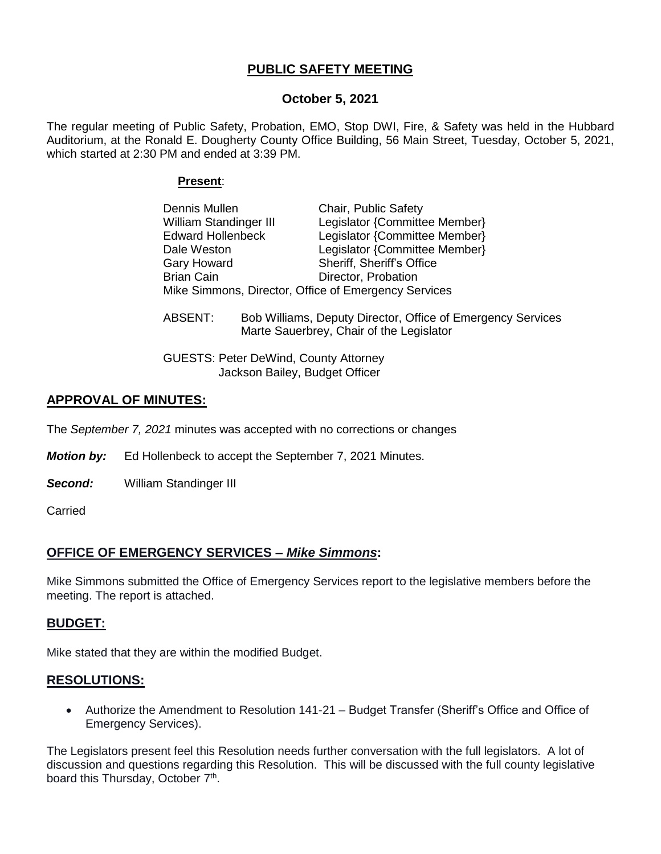# **PUBLIC SAFETY MEETING**

## **October 5, 2021**

The regular meeting of Public Safety, Probation, EMO, Stop DWI, Fire, & Safety was held in the Hubbard Auditorium, at the Ronald E. Dougherty County Office Building, 56 Main Street, Tuesday, October 5, 2021, which started at 2:30 PM and ended at 3:39 PM.

#### **Present**:

| Dennis Mullen                                        | Chair, Public Safety          |  |
|------------------------------------------------------|-------------------------------|--|
| <b>William Standinger III</b>                        | Legislator {Committee Member} |  |
| <b>Edward Hollenbeck</b>                             | Legislator {Committee Member} |  |
| Dale Weston                                          | Legislator {Committee Member} |  |
| <b>Gary Howard</b>                                   | Sheriff, Sheriff's Office     |  |
| <b>Brian Cain</b>                                    | Director, Probation           |  |
| Mike Simmons, Director, Office of Emergency Services |                               |  |

ABSENT: Bob Williams, Deputy Director, Office of Emergency Services Marte Sauerbrey, Chair of the Legislator

GUESTS: Peter DeWind, County Attorney Jackson Bailey, Budget Officer

# **APPROVAL OF MINUTES:**

The *September 7, 2021* minutes was accepted with no corrections or changes

*Motion by:* Ed Hollenbeck to accept the September 7, 2021 Minutes.

*Second:* William Standinger III

**Carried** 

## **OFFICE OF EMERGENCY SERVICES –** *Mike Simmons***:**

Mike Simmons submitted the Office of Emergency Services report to the legislative members before the meeting. The report is attached.

## **BUDGET:**

Mike stated that they are within the modified Budget.

## **RESOLUTIONS:**

 Authorize the Amendment to Resolution 141-21 – Budget Transfer (Sheriff's Office and Office of Emergency Services).

The Legislators present feel this Resolution needs further conversation with the full legislators. A lot of discussion and questions regarding this Resolution. This will be discussed with the full county legislative board this Thursday, October 7<sup>th</sup>.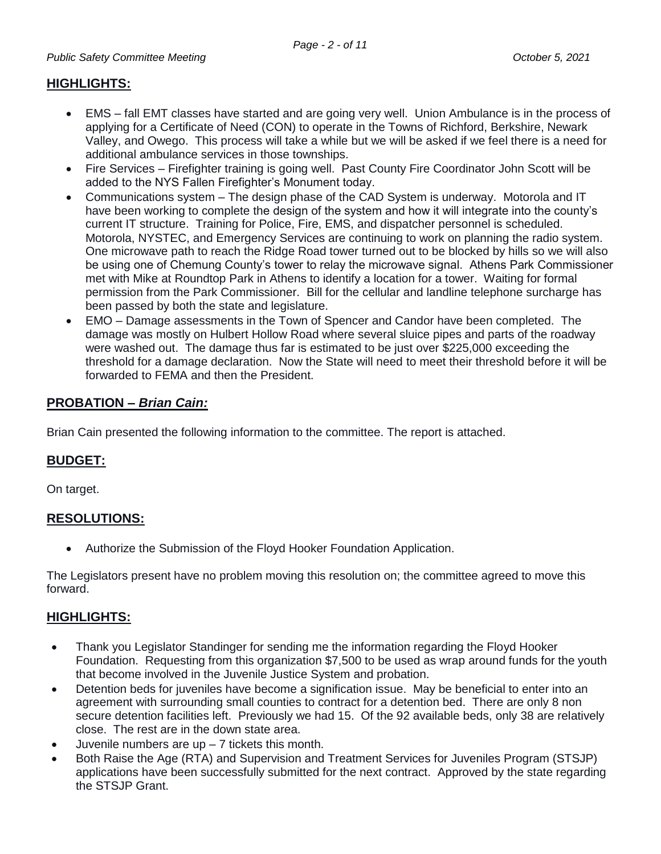## **HIGHLIGHTS:**

- EMS fall EMT classes have started and are going very well. Union Ambulance is in the process of applying for a Certificate of Need (CON) to operate in the Towns of Richford, Berkshire, Newark Valley, and Owego. This process will take a while but we will be asked if we feel there is a need for additional ambulance services in those townships.
- Fire Services Firefighter training is going well. Past County Fire Coordinator John Scott will be added to the NYS Fallen Firefighter's Monument today.
- Communications system The design phase of the CAD System is underway. Motorola and IT have been working to complete the design of the system and how it will integrate into the county's current IT structure. Training for Police, Fire, EMS, and dispatcher personnel is scheduled. Motorola, NYSTEC, and Emergency Services are continuing to work on planning the radio system. One microwave path to reach the Ridge Road tower turned out to be blocked by hills so we will also be using one of Chemung County's tower to relay the microwave signal. Athens Park Commissioner met with Mike at Roundtop Park in Athens to identify a location for a tower. Waiting for formal permission from the Park Commissioner. Bill for the cellular and landline telephone surcharge has been passed by both the state and legislature.
- EMO Damage assessments in the Town of Spencer and Candor have been completed. The damage was mostly on Hulbert Hollow Road where several sluice pipes and parts of the roadway were washed out. The damage thus far is estimated to be just over \$225,000 exceeding the threshold for a damage declaration. Now the State will need to meet their threshold before it will be forwarded to FEMA and then the President.

## **PROBATION –** *Brian Cain:*

Brian Cain presented the following information to the committee. The report is attached.

# **BUDGET:**

On target.

# **RESOLUTIONS:**

Authorize the Submission of the Floyd Hooker Foundation Application.

The Legislators present have no problem moving this resolution on; the committee agreed to move this forward.

## **HIGHLIGHTS:**

- Thank you Legislator Standinger for sending me the information regarding the Floyd Hooker Foundation. Requesting from this organization \$7,500 to be used as wrap around funds for the youth that become involved in the Juvenile Justice System and probation.
- Detention beds for juveniles have become a signification issue. May be beneficial to enter into an agreement with surrounding small counties to contract for a detention bed. There are only 8 non secure detention facilities left. Previously we had 15. Of the 92 available beds, only 38 are relatively close. The rest are in the down state area.
- Juvenile numbers are  $up 7$  tickets this month.
- Both Raise the Age (RTA) and Supervision and Treatment Services for Juveniles Program (STSJP) applications have been successfully submitted for the next contract. Approved by the state regarding the STSJP Grant.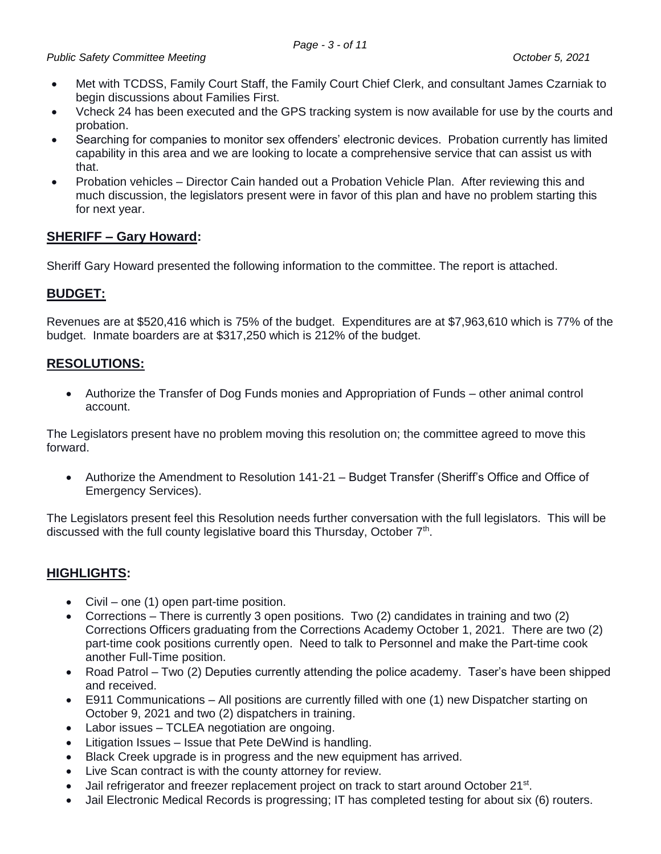- Met with TCDSS, Family Court Staff, the Family Court Chief Clerk, and consultant James Czarniak to begin discussions about Families First.
- Vcheck 24 has been executed and the GPS tracking system is now available for use by the courts and probation.
- Searching for companies to monitor sex offenders' electronic devices. Probation currently has limited capability in this area and we are looking to locate a comprehensive service that can assist us with that.
- Probation vehicles Director Cain handed out a Probation Vehicle Plan. After reviewing this and much discussion, the legislators present were in favor of this plan and have no problem starting this for next year.

# **SHERIFF – Gary Howard:**

Sheriff Gary Howard presented the following information to the committee. The report is attached.

# **BUDGET:**

Revenues are at \$520,416 which is 75% of the budget. Expenditures are at \$7,963,610 which is 77% of the budget. Inmate boarders are at \$317,250 which is 212% of the budget.

# **RESOLUTIONS:**

 Authorize the Transfer of Dog Funds monies and Appropriation of Funds – other animal control account.

The Legislators present have no problem moving this resolution on; the committee agreed to move this forward.

 Authorize the Amendment to Resolution 141-21 – Budget Transfer (Sheriff's Office and Office of Emergency Services).

The Legislators present feel this Resolution needs further conversation with the full legislators. This will be discussed with the full county legislative board this Thursday, October 7<sup>th</sup>.

# **HIGHLIGHTS:**

- Civil one (1) open part-time position.
- Corrections There is currently 3 open positions. Two (2) candidates in training and two (2) Corrections Officers graduating from the Corrections Academy October 1, 2021. There are two (2) part-time cook positions currently open. Need to talk to Personnel and make the Part-time cook another Full-Time position.
- Road Patrol Two (2) Deputies currently attending the police academy. Taser's have been shipped and received.
- E911 Communications All positions are currently filled with one (1) new Dispatcher starting on October 9, 2021 and two (2) dispatchers in training.
- Labor issues TCLEA negotiation are ongoing.
- Litigation Issues Issue that Pete DeWind is handling.
- Black Creek upgrade is in progress and the new equipment has arrived.
- Live Scan contract is with the county attorney for review.
- Jail refrigerator and freezer replacement project on track to start around October 21<sup>st</sup>.
- Jail Electronic Medical Records is progressing; IT has completed testing for about six (6) routers.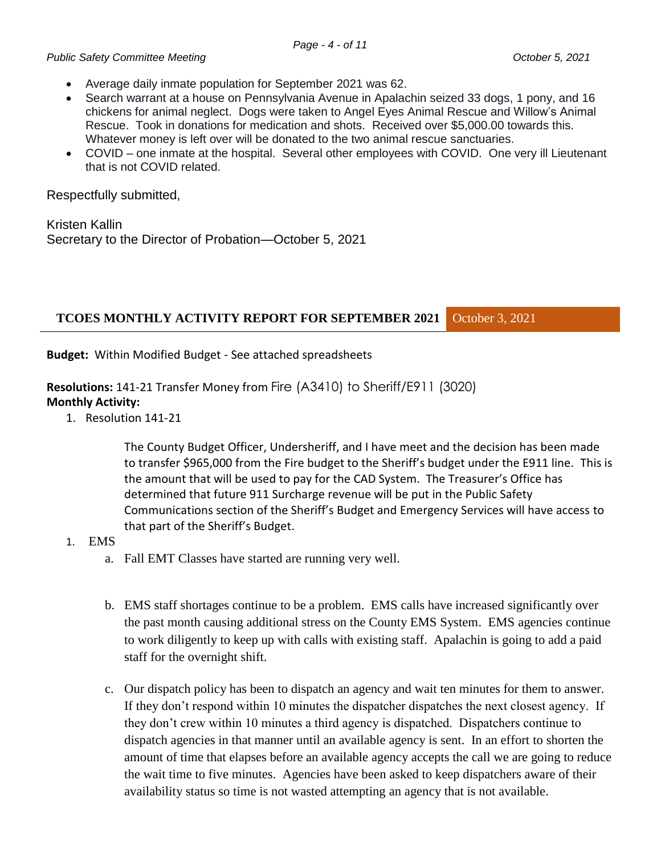- Average daily inmate population for September 2021 was 62.
- Search warrant at a house on Pennsylvania Avenue in Apalachin seized 33 dogs, 1 pony, and 16 chickens for animal neglect. Dogs were taken to Angel Eyes Animal Rescue and Willow's Animal Rescue. Took in donations for medication and shots. Received over \$5,000.00 towards this. Whatever money is left over will be donated to the two animal rescue sanctuaries.
- COVID one inmate at the hospital. Several other employees with COVID. One very ill Lieutenant that is not COVID related.

Respectfully submitted,

Kristen Kallin Secretary to the Director of Probation—October 5, 2021

## **TCOES MONTHLY ACTIVITY REPORT FOR SEPTEMBER 2021** October 3, 2021

**Budget:** Within Modified Budget - See attached spreadsheets

**Resolutions:** 141-21 Transfer Money from Fire (A3410) to Sheriff/E911 (3020) **Monthly Activity:**

1. Resolution 141-21

The County Budget Officer, Undersheriff, and I have meet and the decision has been made to transfer \$965,000 from the Fire budget to the Sheriff's budget under the E911 line. This is the amount that will be used to pay for the CAD System. The Treasurer's Office has determined that future 911 Surcharge revenue will be put in the Public Safety Communications section of the Sheriff's Budget and Emergency Services will have access to that part of the Sheriff's Budget.

## 1. EMS

- a. Fall EMT Classes have started are running very well.
- b. EMS staff shortages continue to be a problem. EMS calls have increased significantly over the past month causing additional stress on the County EMS System. EMS agencies continue to work diligently to keep up with calls with existing staff. Apalachin is going to add a paid staff for the overnight shift.
- c. Our dispatch policy has been to dispatch an agency and wait ten minutes for them to answer. If they don't respond within 10 minutes the dispatcher dispatches the next closest agency. If they don't crew within 10 minutes a third agency is dispatched. Dispatchers continue to dispatch agencies in that manner until an available agency is sent. In an effort to shorten the amount of time that elapses before an available agency accepts the call we are going to reduce the wait time to five minutes. Agencies have been asked to keep dispatchers aware of their availability status so time is not wasted attempting an agency that is not available.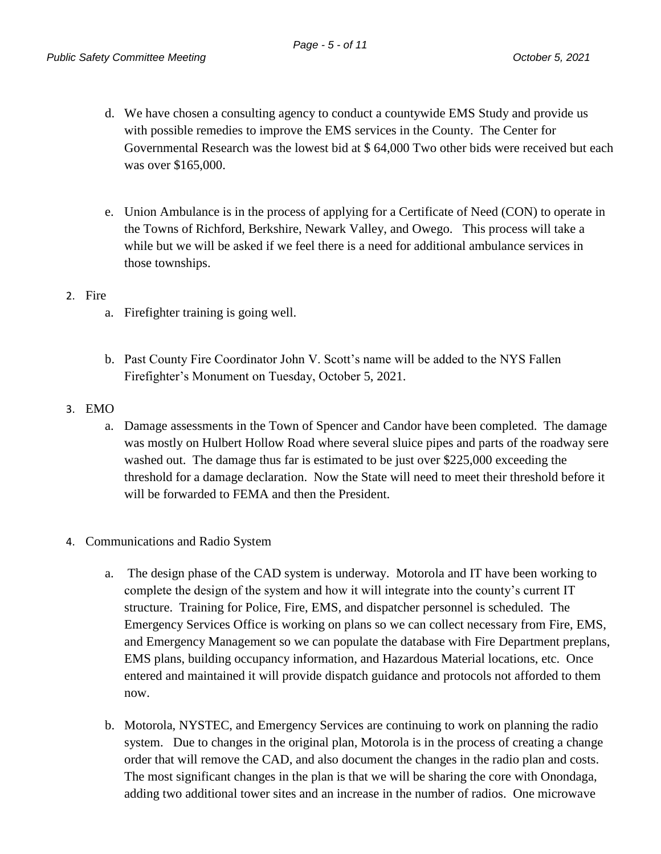- d. We have chosen a consulting agency to conduct a countywide EMS Study and provide us with possible remedies to improve the EMS services in the County. The Center for Governmental Research was the lowest bid at \$ 64,000 Two other bids were received but each was over \$165,000.
- e. Union Ambulance is in the process of applying for a Certificate of Need (CON) to operate in the Towns of Richford, Berkshire, Newark Valley, and Owego. This process will take a while but we will be asked if we feel there is a need for additional ambulance services in those townships.

## 2. Fire

- a. Firefighter training is going well.
- b. Past County Fire Coordinator John V. Scott's name will be added to the NYS Fallen Firefighter's Monument on Tuesday, October 5, 2021.
- 3. EMO
	- a. Damage assessments in the Town of Spencer and Candor have been completed. The damage was mostly on Hulbert Hollow Road where several sluice pipes and parts of the roadway sere washed out. The damage thus far is estimated to be just over \$225,000 exceeding the threshold for a damage declaration. Now the State will need to meet their threshold before it will be forwarded to FEMA and then the President.

## 4. Communications and Radio System

- a. The design phase of the CAD system is underway. Motorola and IT have been working to complete the design of the system and how it will integrate into the county's current IT structure. Training for Police, Fire, EMS, and dispatcher personnel is scheduled. The Emergency Services Office is working on plans so we can collect necessary from Fire, EMS, and Emergency Management so we can populate the database with Fire Department preplans, EMS plans, building occupancy information, and Hazardous Material locations, etc. Once entered and maintained it will provide dispatch guidance and protocols not afforded to them now.
- b. Motorola, NYSTEC, and Emergency Services are continuing to work on planning the radio system. Due to changes in the original plan, Motorola is in the process of creating a change order that will remove the CAD, and also document the changes in the radio plan and costs. The most significant changes in the plan is that we will be sharing the core with Onondaga, adding two additional tower sites and an increase in the number of radios. One microwave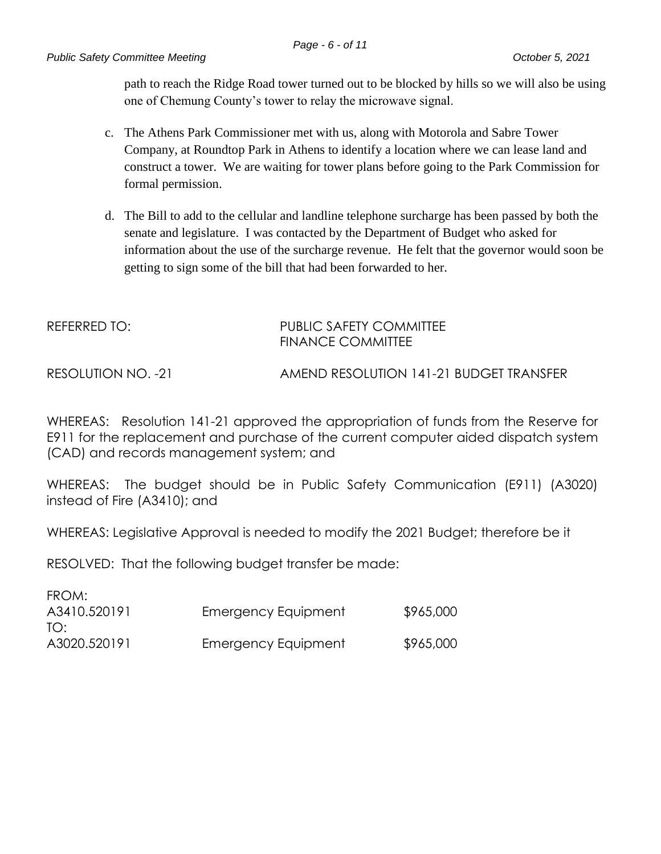path to reach the Ridge Road tower turned out to be blocked by hills so we will also be using one of Chemung County's tower to relay the microwave signal.

- c. The Athens Park Commissioner met with us, along with Motorola and Sabre Tower Company, at Roundtop Park in Athens to identify a location where we can lease land and construct a tower. We are waiting for tower plans before going to the Park Commission for formal permission.
- d. The Bill to add to the cellular and landline telephone surcharge has been passed by both the senate and legislature. I was contacted by the Department of Budget who asked for information about the use of the surcharge revenue. He felt that the governor would soon be getting to sign some of the bill that had been forwarded to her.

# REFERRED TO: PUBLIC SAFETY COMMITTEE FINANCE COMMITTEE

RESOLUTION NO. -21 AMEND RESOLUTION 141-21 BUDGET TRANSFER

WHEREAS: Resolution 141-21 approved the appropriation of funds from the Reserve for E911 for the replacement and purchase of the current computer aided dispatch system (CAD) and records management system; and

WHEREAS: The budget should be in Public Safety Communication (E911) (A3020) instead of Fire (A3410); and

WHEREAS: Legislative Approval is needed to modify the 2021 Budget; therefore be it

RESOLVED: That the following budget transfer be made:

| FROM:        |                     |           |
|--------------|---------------------|-----------|
| A3410.520191 | Emergency Equipment | \$965,000 |
| TO:          |                     |           |
| A3020.520191 | Emergency Equipment | \$965,000 |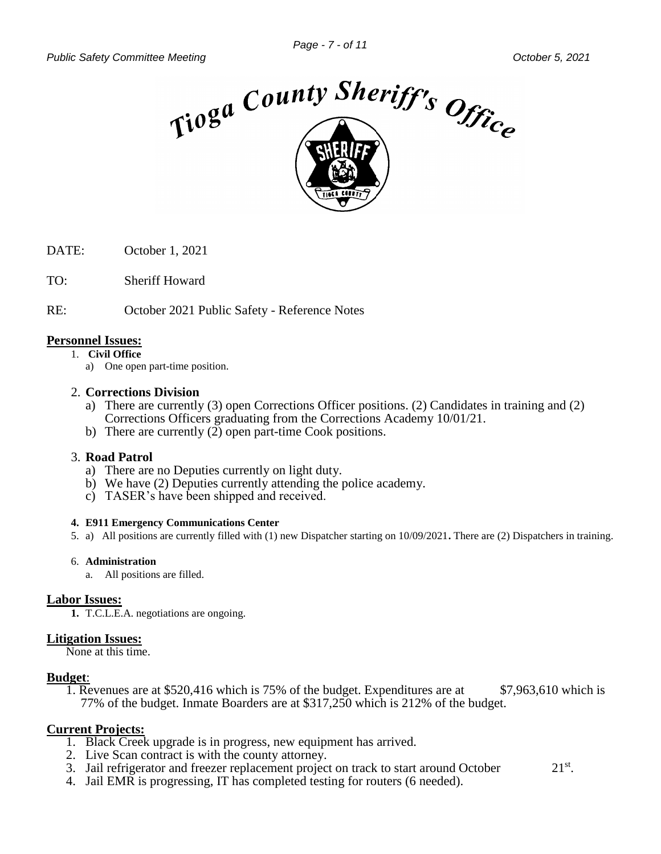

DATE: October 1, 2021

TO: Sheriff Howard

RE: October 2021 Public Safety - Reference Notes

#### **Personnel Issues:**

1. **Civil Office**

a) One open part-time position.

#### 2. **Corrections Division**

- a) There are currently (3) open Corrections Officer positions. (2) Candidates in training and (2) Corrections Officers graduating from the Corrections Academy 10/01/21.
- b) There are currently (2) open part-time Cook positions.

#### 3. **Road Patrol**

- a) There are no Deputies currently on light duty.
- b) We have (2) Deputies currently attending the police academy.
- c) TASER's have been shipped and received.

#### **4. E911 Emergency Communications Center**

5. a)All positions are currently filled with (1) new Dispatcher starting on 10/09/2021**.** There are (2) Dispatchers in training.

#### 6. **Administration**

a. All positions are filled.

#### **Labor Issues:**

**1.** T.C.L.E.A. negotiations are ongoing.

#### **Litigation Issues:**

None at this time.

#### **Budget**:

1. Revenues are at \$520,416 which is 75% of the budget. Expenditures are at \$7,963,610 which is 77% of the budget. Inmate Boarders are at \$317,250 which is 212% of the budget.

## **Current Projects:**

- 1. Black Creek upgrade is in progress, new equipment has arrived.
- 2. Live Scan contract is with the county attorney.
- 3. Jail refrigerator and freezer replacement project on track to start around October  $21^{st}$ .
- 4. Jail EMR is progressing, IT has completed testing for routers (6 needed).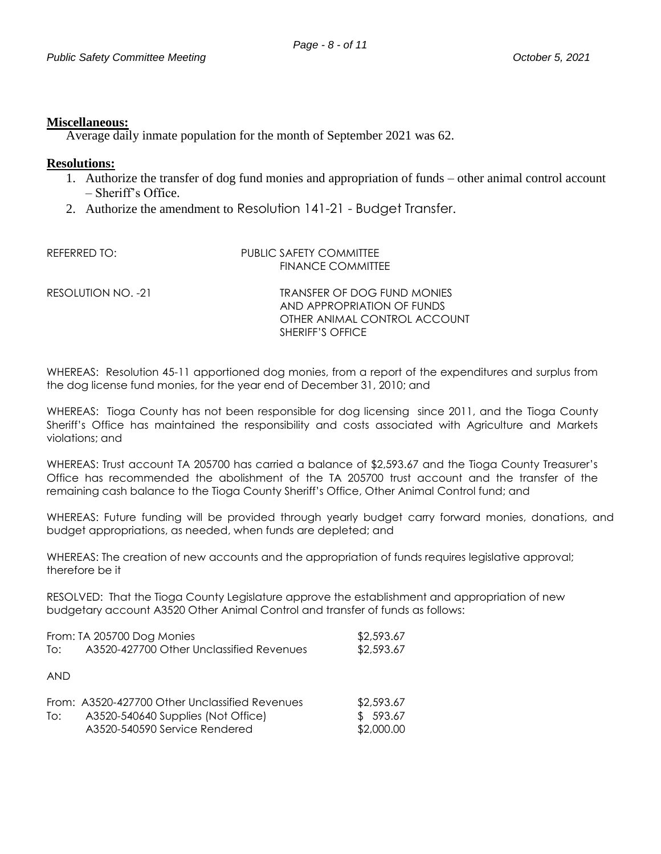#### **Miscellaneous:**

Average daily inmate population for the month of September 2021 was 62.

#### **Resolutions:**

- 1. Authorize the transfer of dog fund monies and appropriation of funds other animal control account – Sheriff's Office.
- 2. Authorize the amendment to Resolution 141-21 Budget Transfer.

| REFERRED TO:       | PUBLIC SAFETY COMMITTEE<br>FINANCE COMMITTEE                                                                  |
|--------------------|---------------------------------------------------------------------------------------------------------------|
| RESOLUTION NO. -21 | TRANSFER OF DOG FUND MONIES<br>AND APPROPRIATION OF FUNDS<br>OTHER ANIMAL CONTROL ACCOUNT<br>SHERIFF'S OFFICE |

WHEREAS: Resolution 45-11 apportioned dog monies, from a report of the expenditures and surplus from the dog license fund monies, for the year end of December 31, 2010; and

WHEREAS: Tioga County has not been responsible for dog licensing since 2011, and the Tioga County Sheriff's Office has maintained the responsibility and costs associated with Agriculture and Markets violations; and

WHEREAS: Trust account TA 205700 has carried a balance of \$2,593.67 and the Tioga County Treasurer's Office has recommended the abolishment of the TA 205700 trust account and the transfer of the remaining cash balance to the Tioga County Sheriff's Office, Other Animal Control fund; and

WHEREAS: Future funding will be provided through yearly budget carry forward monies, donations, and budget appropriations, as needed, when funds are depleted; and

WHEREAS: The creation of new accounts and the appropriation of funds requires legislative approval; therefore be it

RESOLVED: That the Tioga County Legislature approve the establishment and appropriation of new budgetary account A3520 Other Animal Control and transfer of funds as follows:

| From: TA 205700 Dog Monies |                                                | \$2,593.67 |
|----------------------------|------------------------------------------------|------------|
| To:                        | A3520-427700 Other Unclassified Revenues       | \$2,593.67 |
|                            |                                                |            |
| <b>AND</b>                 |                                                |            |
|                            |                                                |            |
|                            | From: A3520-427700 Other Unclassified Revenues | \$2,593.67 |
| To:                        | A3520-540640 Supplies (Not Office)             | \$593.67   |
|                            | A3520-540590 Service Rendered                  | \$2,000.00 |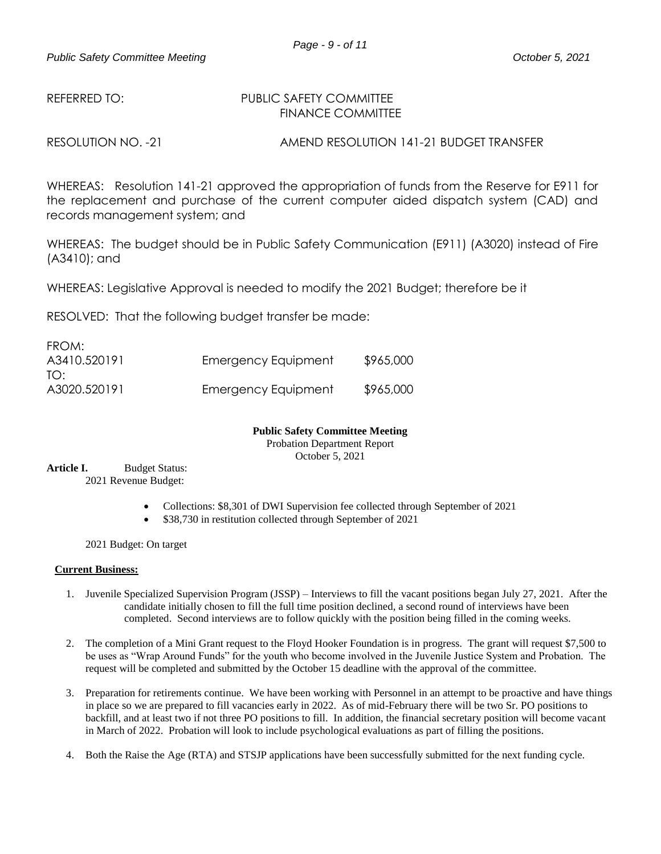#### REFERRED TO: PUBLIC SAFETY COMMITTEE FINANCE COMMITTEE

RESOLUTION NO. -21 AMEND RESOLUTION 141-21 BUDGET TRANSFER

WHEREAS: Resolution 141-21 approved the appropriation of funds from the Reserve for E911 for the replacement and purchase of the current computer aided dispatch system (CAD) and records management system; and

WHEREAS: The budget should be in Public Safety Communication (E911) (A3020) instead of Fire (A3410); and

WHEREAS: Legislative Approval is needed to modify the 2021 Budget; therefore be it

RESOLVED: That the following budget transfer be made:

| FROM:        |                     |           |
|--------------|---------------------|-----------|
| A3410.520191 | Emergency Equipment | \$965,000 |
| TO:          |                     |           |
| A3020.520191 | Emergency Equipment | \$965,000 |

## **Public Safety Committee Meeting**

Probation Department Report

October 5, 2021

Article I. Budget Status: 2021 Revenue Budget:

- Collections: \$8,301 of DWI Supervision fee collected through September of 2021
- \$38,730 in restitution collected through September of 2021

2021 Budget: On target

#### **Current Business:**

- 1. Juvenile Specialized Supervision Program (JSSP) Interviews to fill the vacant positions began July 27, 2021. After the candidate initially chosen to fill the full time position declined, a second round of interviews have been completed. Second interviews are to follow quickly with the position being filled in the coming weeks.
- 2. The completion of a Mini Grant request to the Floyd Hooker Foundation is in progress. The grant will request \$7,500 to be uses as "Wrap Around Funds" for the youth who become involved in the Juvenile Justice System and Probation. The request will be completed and submitted by the October 15 deadline with the approval of the committee.
- 3. Preparation for retirements continue. We have been working with Personnel in an attempt to be proactive and have things in place so we are prepared to fill vacancies early in 2022. As of mid-February there will be two Sr. PO positions to backfill, and at least two if not three PO positions to fill. In addition, the financial secretary position will become vacant in March of 2022. Probation will look to include psychological evaluations as part of filling the positions.
- 4. Both the Raise the Age (RTA) and STSJP applications have been successfully submitted for the next funding cycle.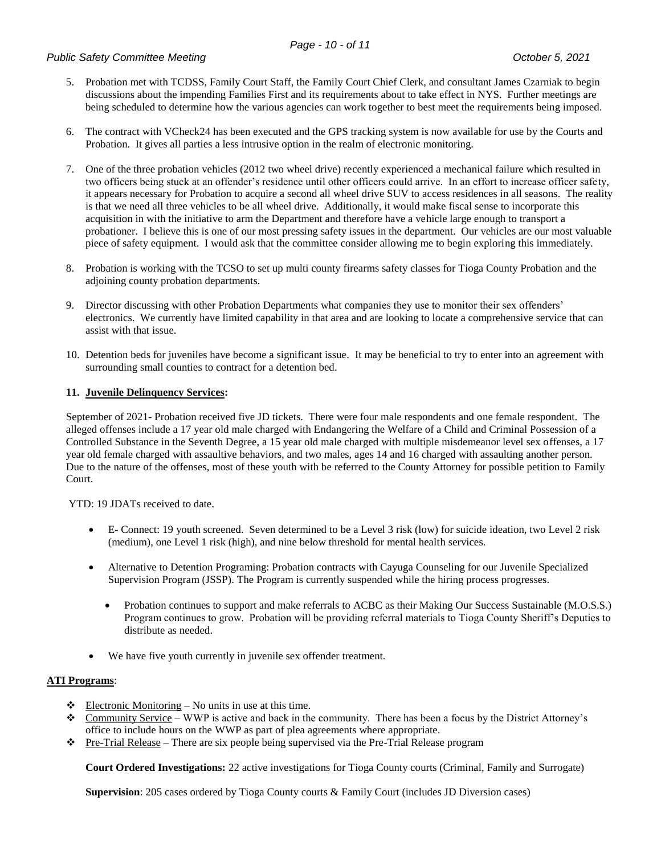#### *Public Safety Committee Meeting October 5, 2021*

- 5. Probation met with TCDSS, Family Court Staff, the Family Court Chief Clerk, and consultant James Czarniak to begin discussions about the impending Families First and its requirements about to take effect in NYS. Further meetings are being scheduled to determine how the various agencies can work together to best meet the requirements being imposed.
- 6. The contract with VCheck24 has been executed and the GPS tracking system is now available for use by the Courts and Probation. It gives all parties a less intrusive option in the realm of electronic monitoring.
- 7. One of the three probation vehicles (2012 two wheel drive) recently experienced a mechanical failure which resulted in two officers being stuck at an offender's residence until other officers could arrive. In an effort to increase officer safety, it appears necessary for Probation to acquire a second all wheel drive SUV to access residences in all seasons. The reality is that we need all three vehicles to be all wheel drive. Additionally, it would make fiscal sense to incorporate this acquisition in with the initiative to arm the Department and therefore have a vehicle large enough to transport a probationer. I believe this is one of our most pressing safety issues in the department. Our vehicles are our most valuable piece of safety equipment. I would ask that the committee consider allowing me to begin exploring this immediately.
- 8. Probation is working with the TCSO to set up multi county firearms safety classes for Tioga County Probation and the adjoining county probation departments.
- 9. Director discussing with other Probation Departments what companies they use to monitor their sex offenders' electronics. We currently have limited capability in that area and are looking to locate a comprehensive service that can assist with that issue.
- 10. Detention beds for juveniles have become a significant issue. It may be beneficial to try to enter into an agreement with surrounding small counties to contract for a detention bed.

#### **11. Juvenile Delinquency Services:**

September of 2021- Probation received five JD tickets. There were four male respondents and one female respondent. The alleged offenses include a 17 year old male charged with Endangering the Welfare of a Child and Criminal Possession of a Controlled Substance in the Seventh Degree, a 15 year old male charged with multiple misdemeanor level sex offenses, a 17 year old female charged with assaultive behaviors, and two males, ages 14 and 16 charged with assaulting another person. Due to the nature of the offenses, most of these youth with be referred to the County Attorney for possible petition to Family Court.

YTD: 19 JDATs received to date.

- E- Connect: 19 youth screened. Seven determined to be a Level 3 risk (low) for suicide ideation, two Level 2 risk (medium), one Level 1 risk (high), and nine below threshold for mental health services.
- Alternative to Detention Programing: Probation contracts with Cayuga Counseling for our Juvenile Specialized Supervision Program (JSSP). The Program is currently suspended while the hiring process progresses.
	- Probation continues to support and make referrals to ACBC as their Making Our Success Sustainable (M.O.S.S.) Program continues to grow. Probation will be providing referral materials to Tioga County Sheriff's Deputies to distribute as needed.
- We have five youth currently in juvenile sex offender treatment.

#### **ATI Programs**:

- $\triangleleft$  Electronic Monitoring No units in use at this time.
- Community Service WWP is active and back in the community. There has been a focus by the District Attorney's office to include hours on the WWP as part of plea agreements where appropriate.
- Pre-Trial Release There are six people being supervised via the Pre-Trial Release program

**Court Ordered Investigations:** 22 active investigations for Tioga County courts (Criminal, Family and Surrogate)

**Supervision**: 205 cases ordered by Tioga County courts & Family Court (includes JD Diversion cases)